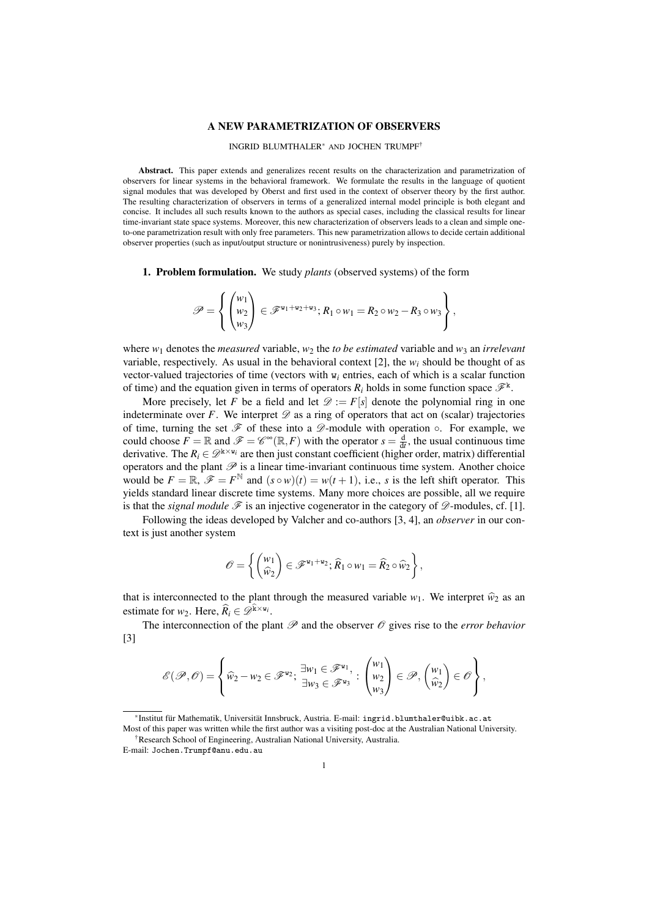## A NEW PARAMETRIZATION OF OBSERVERS

## INGRID BLUMTHALER<sup>∗</sup> AND JOCHEN TRUMPF†

Abstract. This paper extends and generalizes recent results on the characterization and parametrization of observers for linear systems in the behavioral framework. We formulate the results in the language of quotient signal modules that was developed by Oberst and first used in the context of observer theory by the first author. The resulting characterization of observers in terms of a generalized internal model principle is both elegant and concise. It includes all such results known to the authors as special cases, including the classical results for linear time-invariant state space systems. Moreover, this new characterization of observers leads to a clean and simple oneto-one parametrization result with only free parameters. This new parametrization allows to decide certain additional observer properties (such as input/output structure or nonintrusiveness) purely by inspection.

1. Problem formulation. We study *plants* (observed systems) of the form

$$
\mathscr{P} = \left\{ \begin{pmatrix} w_1 \\ w_2 \\ w_3 \end{pmatrix} \in \mathscr{F}^{\mathbf{w}_1 + \mathbf{w}_2 + \mathbf{w}_3}; R_1 \circ w_1 = R_2 \circ w_2 - R_3 \circ w_3 \right\},\
$$

where  $w_1$  denotes the *measured* variable,  $w_2$  the *to be estimated* variable and  $w_3$  an *irrelevant* variable, respectively. As usual in the behavioral context [2], the  $w_i$  should be thought of as vector-valued trajectories of time (vectors with  $w_i$  entries, each of which is a scalar function of time) and the equation given in terms of operators  $R_i$  holds in some function space  $\mathscr{F}^k$ .

More precisely, let *F* be a field and let  $\mathscr{D} := F[s]$  denote the polynomial ring in one indeterminate over *F*. We interpret  $\mathscr D$  as a ring of operators that act on (scalar) trajectories of time, turning the set  $\mathscr F$  of these into a  $\mathscr D$ -module with operation  $\circ$ . For example, we could choose  $F = \mathbb{R}$  and  $\mathscr{F} = \mathscr{C}^{\infty}(\mathbb{R}, F)$  with the operator  $s = \frac{d}{dt}$ , the usual continuous time derivative. The  $R_i \in \mathscr{D}^{k \times w_i}$  are then just constant coefficient (higher order, matrix) differential operators and the plant  $\mathscr P$  is a linear time-invariant continuous time system. Another choice would be  $F = \mathbb{R}$ ,  $\mathscr{F} = F^{\mathbb{N}}$  and  $(s \circ w)(t) = w(t+1)$ , i.e., *s* is the left shift operator. This yields standard linear discrete time systems. Many more choices are possible, all we require is that the *signal module*  $\mathcal F$  is an injective cogenerator in the category of  $\mathcal D$ -modules, cf. [1].

Following the ideas developed by Valcher and co-authors [3, 4], an *observer* in our context is just another system

$$
\mathscr{O} = \left\{ \begin{pmatrix} w_1 \\ \widehat{w}_2 \end{pmatrix} \in \mathscr{F}^{\mathbf{w}_1 + \mathbf{w}_2}; \, \widehat{R}_1 \circ w_1 = \widehat{R}_2 \circ \widehat{w}_2 \right\},\
$$

that is interconnected to the plant through the measured variable  $w_1$ . We interpret  $\hat{w}_2$  as an estimate for *w*<sub>2</sub>. Here,  $\widehat{R}_i \in \mathscr{D}^{\widehat{k} \times w_i}$ .

The interconnection of the plant  $P$  and the observer  $O$  gives rise to the *error behavior* [3]

$$
\mathscr{E}(\mathscr{P},\mathscr{O})=\left\{\widehat{w}_2-w_2\in\mathscr{F}^{\mathtt{w}_2};\ \frac{\exists w_1\in\mathscr{F}^{\mathtt{w}_1}}{\exists w_3\in\mathscr{F}^{\mathtt{w}_3}}:\begin{pmatrix}w_1\\w_2\\w_3\end{pmatrix}\in\mathscr{P},\begin{pmatrix}w_1\\ \widehat{w}_2\end{pmatrix}\in\mathscr{O}\right\},\
$$

<sup>\*</sup>Institut für Mathematik, Universität Innsbruck, Austria. E-mail: ingrid.blumthaler@uibk.ac.at

Most of this paper was written while the first author was a visiting post-doc at the Australian National University. †Research School of Engineering, Australian National University, Australia.

E-mail: Jochen.Trumpf@anu.edu.au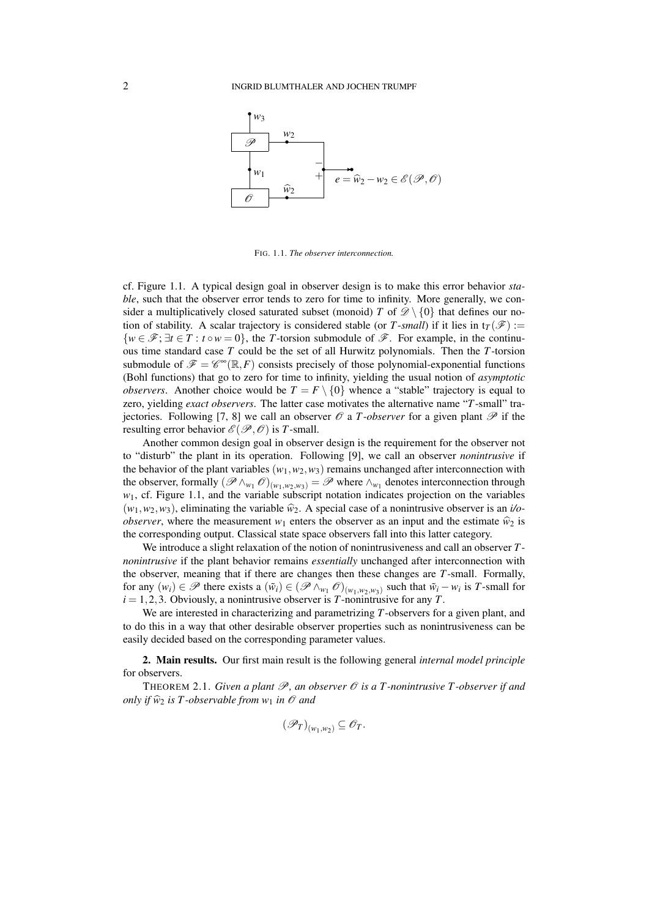

FIG. 1.1. *The observer interconnection.*

cf. Figure 1.1. A typical design goal in observer design is to make this error behavior *stable*, such that the observer error tends to zero for time to infinity. More generally, we consider a multiplicatively closed saturated subset (monoid) *T* of  $\mathscr{D}\setminus\{0\}$  that defines our notion of stability. A scalar trajectory is considered stable (or *T*-*small*) if it lies in  $t_T(\mathscr{F})$  :=  $\{w \in \mathscr{F}; \exists t \in T : t \circ w = 0\}$ , the *T*-torsion submodule of  $\mathscr{F}$ . For example, in the continuous time standard case *T* could be the set of all Hurwitz polynomials. Then the *T*-torsion submodule of  $\mathscr{F} = \mathscr{C}^\infty(\mathbb{R}, F)$  consists precisely of those polynomial-exponential functions (Bohl functions) that go to zero for time to infinity, yielding the usual notion of *asymptotic observers*. Another choice would be  $T = F \setminus \{0\}$  whence a "stable" trajectory is equal to zero, yielding *exact observers*. The latter case motivates the alternative name "*T*-small" trajectories. Following [7, 8] we call an observer  $\mathcal O$  a *T*-*observer* for a given plant  $\mathcal P$  if the resulting error behavior  $\mathscr{E}(\mathscr{P}, \mathscr{O})$  is *T*-small.

Another common design goal in observer design is the requirement for the observer not to "disturb" the plant in its operation. Following [9], we call an observer *nonintrusive* if the behavior of the plant variables  $(w_1, w_2, w_3)$  remains unchanged after interconnection with the observer, formally  $(\mathscr{P} \wedge_{w_1} \mathscr{O})_{(w_1,w_2,w_3)} = \mathscr{P}$  where  $\wedge_{w_1}$  denotes interconnection through  $w_1$ , cf. Figure 1.1, and the variable subscript notation indicates projection on the variables  $(w_1, w_2, w_3)$ , eliminating the variable  $\hat{w}_2$ . A special case of a nonintrusive observer is an *i/oobserver*, where the measurement  $w_1$  enters the observer as an input and the estimate  $\hat{w}_2$  is the corresponding output. Classical state space observers fall into this latter category.

We introduce a slight relaxation of the notion of nonintrusiveness and call an observer *Tnonintrusive* if the plant behavior remains *essentially* unchanged after interconnection with the observer, meaning that if there are changes then these changes are *T*-small. Formally, for any  $(w_i) \in \mathscr{P}$  there exists a  $(\tilde{w}_i) \in (\mathscr{P} \wedge_{w_1} \mathscr{O})_{(w_1,w_2,w_3)}$  such that  $\tilde{w}_i - w_i$  is *T*-small for  $i = 1, 2, 3$ . Obviously, a nonintrusive observer is *T*-nonintrusive for any *T*.

We are interested in characterizing and parametrizing *T*-observers for a given plant, and to do this in a way that other desirable observer properties such as nonintrusiveness can be easily decided based on the corresponding parameter values.

2. Main results. Our first main result is the following general *internal model principle* for observers.

THEOREM 2.1. *Given a plant*  $\mathcal{P}$ *, an observer*  $\mathcal{O}$  *is a T-nonintrusive T-observer if and only if*  $\widehat{w}_2$  *is T-observable from*  $w_1$  *in*  $\mathcal O$  *and* 

$$
(\mathscr{P}_T)_{(w_1,w_2)} \subseteq \mathscr{O}_T.
$$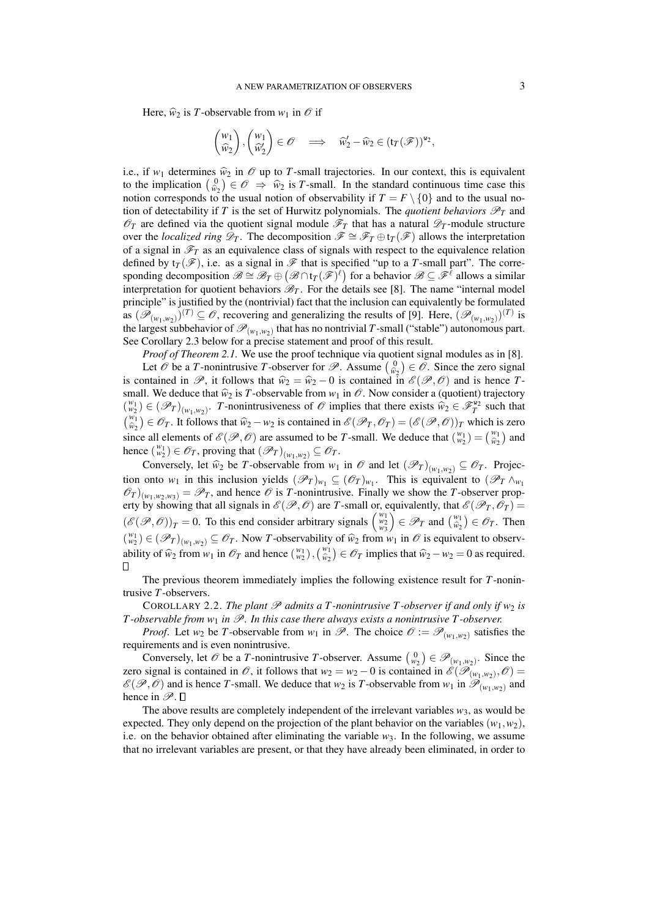Here,  $\hat{w}_2$  is *T*-observable from  $w_1$  in  $\mathcal O$  if

$$
\begin{pmatrix} w_1 \\ \widehat{w}_2 \end{pmatrix}, \begin{pmatrix} w_1 \\ \widehat{w}'_2 \end{pmatrix} \in \mathscr{O} \implies \widehat{w}'_2 - \widehat{w}_2 \in (\mathop{\rm tr} (\mathscr{F}))^{\mathop{\rm w}\nolimits_2},
$$

i.e., if  $w_1$  determines  $\hat{w}_2$  in  $\mathcal O$  up to *T*-small trajectories. In our context, this is equivalent to the implication  $\begin{pmatrix} 0 \\ \hat{w}_2 \end{pmatrix} \in \mathcal{O} \Rightarrow \hat{w}_2$  is *T*-small. In the standard continuous time case this to the implication  $\begin{pmatrix} \hat{w}_2 \\ \hat{w}_3 \end{pmatrix} \in V \implies w_2$  is *I*-sman. In the standard continuous time case this notion corresponds to the usual notion of observability if  $T = F \setminus \{0\}$  and to the usual notion of detectability if *T* is the set of Hurwitz polynomials. The *quotient behaviors*  $\mathcal{P}_T$  and  $\mathscr{O}_T$  are defined via the quotient signal module  $\mathscr{F}_T$  that has a natural  $\mathscr{D}_T$ -module structure over the *localized ring*  $\mathscr{D}_T$ . The decomposition  $\mathscr{F} \cong \mathscr{F}_T \oplus \mathfrak{t}_T(\mathscr{F})$  allows the interpretation of a signal in  $\mathcal{F}_T$  as an equivalence class of signals with respect to the equivalence relation defined by  $t_T(\mathcal{F})$ , i.e. as a signal in  $\mathcal F$  that is specified "up to a *T*-small part". The corresponding decomposition  $\mathscr{B} \cong \mathscr{B}_T \oplus (\mathscr{B} \cap \mathfrak{t}_T(\mathscr{F})^\ell)$  for a behavior  $\mathscr{B} \subseteq \mathscr{F}^\ell$  allows a similar interpretation for quotient behaviors  $\mathscr{B}_T$ . For the details see [8]. The name "internal model principle" is justified by the (nontrivial) fact that the inclusion can equivalently be formulated as  $(\mathscr{P}_{(w_1,w_2)}^{(T)}\n\subseteq \mathscr{O}$ , recovering and generalizing the results of [9]. Here,  $(\mathscr{P}_{(w_1,w_2)}^{(T)})^{(T)}$  is the largest subbehavior of  $\mathscr{P}_{(w_1,w_2)}$  that has no nontrivial *T*-small ("stable") autonomous part. See Corollary 2.3 below for a precise statement and proof of this result.

*Proof of Theorem 2.1.* We use the proof technique via quotient signal modules as in [8]. Let  $\mathcal O$  be a *T*-nonintrusive *T*-observer for  $\mathcal P$ . Assume  $\begin{pmatrix} 0 \\ \hat w_2 \end{pmatrix} \in \mathcal O$ . Since the zero signal<br>optained in  $\mathcal P$  it follows that  $\hat w_2 = \hat w_2 = 0$  is contained in  $\mathcal E(\mathcal P, \mathcal O)$  and is hence *T*. is contained in  $\mathcal{P}$ , it follows that  $\hat{w}_2 = \hat{w}_2 - 0$  is contained in  $\mathcal{E}(\mathcal{P}, \mathcal{O})$  and is hence *T*-<br>small. We deduce that  $\hat{w}_2$  is *T* observable from  $w_i$  in  $\mathcal{O}$ . Now consider a (quotient) traject small. We deduce that  $\hat{w}_2$  is *T*-observable from  $w_1$  in  $\mathcal{O}$ . Now consider a (quotient) trajectory  $\begin{bmatrix} w_1 \\ w_2 \end{bmatrix} \in (\mathscr{P}_T)_{(w_1, w_2)}$ . *T*-nonintrusiveness of  $\mathscr{O}$  implies that there exists  $\hat{w}_2 \in \mathscr{F}_T^{w_2}$  such that  $\int_{\widehat{w}}^{w_1}$  $\mathcal{W}_1^{(w)} \in \mathcal{O}_T$ . It follows that  $\hat{w}_2 - w_2$  is contained in  $\mathcal{E}(\mathcal{P}_T, \mathcal{O}_T) = (\mathcal{E}(\mathcal{P}, \mathcal{O}))_T$  which is zero<br>is a substant of  $\mathcal{E}(\mathcal{P}, \mathcal{O})$  as a substant of  $\mathcal{F}$  and  $W$ , that is that  $(\mathcal{W$ since all elements of  $\mathscr{E}(\mathscr{P}, \mathscr{O})$  are assumed to be *T*-small. We deduce that  $\binom{w_1}{w_2} = \binom{w_1}{\hat{w}_2}$  and since an embed is of  $\mathcal{E}(\mathcal{F}, \mathcal{U})$  are assumed to be *I*-sman. We deduce that  $(w_2) - (w_2)$ <br>hence  $\binom{w_1}{w_2} \in \mathcal{O}_T$ , proving that  $(\mathcal{P}_T)_{(w_1, w_2)} \subseteq \mathcal{O}_T$ .

Conversely, let  $\hat{w}_2$  be *T*-observable from  $w_1$  in  $\mathcal O$  and let  $(\mathcal P_T)_{(w_1,w_2)} \subseteq \mathcal O_T$ . Projec-<br>categories in this inclusion width  $(\mathcal P)$   $\subset (\mathcal P)$ . This is equivalent to  $(\mathcal P)$ . tion onto  $w_1$  in this inclusion yields  $(\mathscr{P}_T)_{w_1} \subseteq (\mathscr{O}_T)_{w_1}$ . This is equivalent to  $(\mathscr{P}_T \wedge_{w_1}$  $\mathscr{O}_T$ <sub>(*w*1,*w*<sub>2</sub>,*w*<sub>3</sub>) =  $\mathscr{P}_T$ , and hence  $\mathscr{O}$  is *T*-nonintrusive. Finally we show the *T*-observer prop-</sub> erty by showing that all signals in  $\mathscr{E}(\mathscr{P}, \mathscr{O})$  are *T*-small or, equivalently, that  $\mathscr{E}(\mathscr{P}_T, \mathscr{O}_T)$  =  $(\mathscr{E}(\mathscr{P}, \mathscr{O}))_T = 0$ . To this end consider arbitrary signals  $\begin{pmatrix} w_1 \\ w_2 \\ w_3 \end{pmatrix}$  $\left(\begin{array}{c}\n\varphi_T \\
\varphi_2\n\end{array}\right) \in \mathscr{O}_T$ . Then  $\begin{bmatrix} w_1 \\ w_2 \end{bmatrix}$  ∈  $(\mathscr{P}_T)_{(w_1, w_2)} \subseteq \mathscr{O}_T$ . Now *T*-observability of  $\hat{w}_2$  from  $w_1$  in  $\mathscr{O}$  is equivalent to observability of  $\hat{w}_2$  from  $w_1$  in  $\mathcal{O}_T$  and hence  $\begin{pmatrix} w_1 \\ w_2 \end{pmatrix}$ ,  $\begin{pmatrix} w_1 \\ \hat{w}_2 \end{pmatrix}$  $\left(\hat{w}_1^{\text{v}_1}\right) \in \mathscr{O}_T$  implies that  $\hat{w}_2 - w_2 = 0$  as required.

The previous theorem immediately implies the following existence result for *T*-nonintrusive *T*-observers.

COROLLARY 2.2. The plant  $\mathcal P$  admits a T-nonintrusive T-observer if and only if  $w_2$  is *T*-observable from  $w_1$  *in*  $\mathcal{P}$ *. In this case there always exists a nonintrusive T-observer.* 

*Proof.* Let  $w_2$  be *T*-observable from  $w_1$  in  $\mathscr{P}$ . The choice  $\mathscr{O} := \mathscr{P}_{(w_1,w_2)}$  satisfies the requirements and is even nonintrusive.

Conversely, let  $\mathcal O$  be a *T*-nonintrusive *T*-observer. Assume  $\begin{pmatrix} 0 \\ w_2 \end{pmatrix} \in \mathcal P_{(w_1, w_2)}$ . Since the zero signal is contained in  $\mathcal{O}$ , it follows that  $w_2 = w_2 - 0$  is contained in  $\mathcal{E}(\mathcal{P}_{(w_1,w_2)}, \mathcal{O}) =$  $\mathscr{E}(\mathscr{P},\mathscr{O})$  and is hence *T*-small. We deduce that  $w_2$  is *T*-observable from  $w_1$  in  $\mathscr{P}_{(w_1,w_2)}$  and hence in  $\mathscr{P}$ .  $\square$ 

The above results are completely independent of the irrelevant variables  $w_3$ , as would be expected. They only depend on the projection of the plant behavior on the variables  $(w_1, w_2)$ , i.e. on the behavior obtained after eliminating the variable  $w_3$ . In the following, we assume that no irrelevant variables are present, or that they have already been eliminated, in order to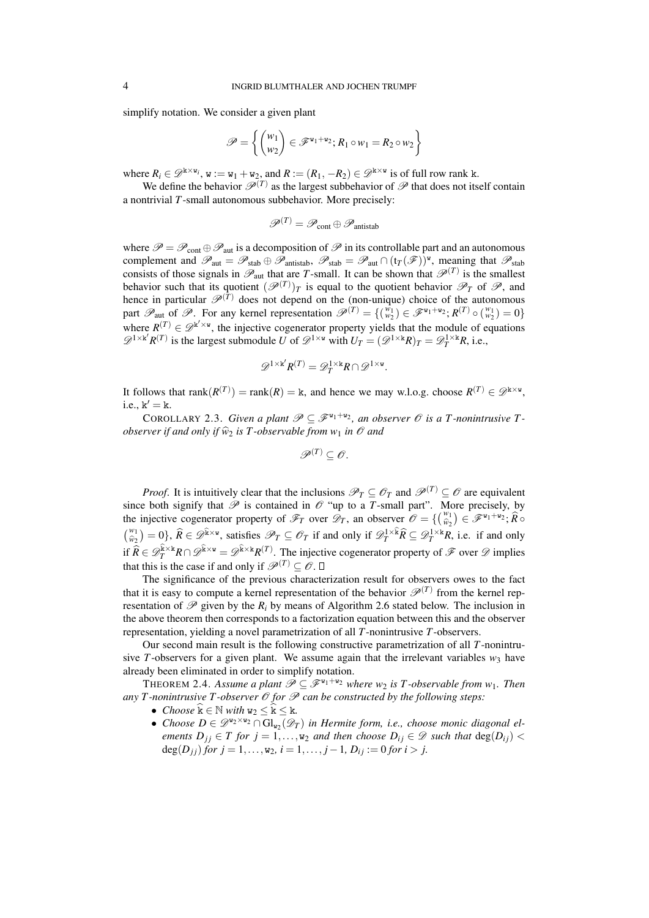simplify notation. We consider a given plant

$$
\mathscr{P} = \left\{ \begin{pmatrix} w_1 \\ w_2 \end{pmatrix} \in \mathscr{F}^{w_1 + w_2}; R_1 \circ w_1 = R_2 \circ w_2 \right\}
$$

where  $R_i \in \mathscr{D}^{k \times w_i}$ ,  $w := w_1 + w_2$ , and  $R := (R_1, -R_2) \in \mathscr{D}^{k \times w}$  is of full row rank k.

We define the behavior  $\mathcal{P}^{(T)}$  as the largest subbehavior of  $\mathcal P$  that does not itself contain a nontrivial *T*-small autonomous subbehavior. More precisely:

$$
\mathscr{P}^{(T)} = \mathscr{P}_{\text{cont}} \oplus \mathscr{P}_{\text{antistab}}
$$

where  $\mathscr{P} = \mathscr{P}_{cont} \oplus \mathscr{P}_{aut}$  is a decomposition of  $\mathscr{P}$  in its controllable part and an autonomous complement and  $\mathscr{P}_{\text{aut}} = \mathscr{P}_{\text{stab}} \oplus \mathscr{P}_{\text{antistab}}$ ,  $\mathscr{P}_{\text{stab}} = \mathscr{P}_{\text{aut}} \cap (\mathfrak{t}_T(\mathscr{F}))^{\text{w}}$ , meaning that  $\mathscr{P}_{\text{stab}}$ consists of those signals in  $\mathscr{P}_{\text{aut}}$  that are *T*-small. It can be shown that  $\mathscr{P}^{(T)}$  is the smallest behavior such that its quotient  $(\mathscr{P}^{(T)})_T$  is equal to the quotient behavior  $\mathscr{P}_T$  of  $\mathscr{P}$ , and hence in particular  $\mathcal{P}^{(T)}$  does not depend on the (non-unique) choice of the autonomous part  $\mathscr{P}_{\text{aut}}$  of  $\mathscr{P}$ . For any kernel representation  $\mathscr{P}^{(T)} = \{ (\begin{smallmatrix} w_1 \\ w_2 \end{smallmatrix}) \in \mathscr{F}^{w_1+w_2}$ ;  $R^{(T)} \circ (\begin{smallmatrix} w_1 \\ w_2 \end{smallmatrix}) = 0 \}$ where  $R^{(T)} \in \mathscr{D}^{k' \times w}$ , the injective cogenerator property yields that the module of equations  $\mathscr{D}^{1\times k'}R^{(T)}$  is the largest submodule *U* of  $\mathscr{D}^{1\times w}$  with  $U_T = (\mathscr{D}^{1\times k}R)_T = \mathscr{D}^{1\times k}_T R$ , i.e.,

$$
\mathscr{D}^{1\times \mathtt{k}'}R^{(T)}=\mathscr{D}_T^{1\times \mathtt{k}}R\cap \mathscr{D}^{1\times \mathtt{w}}.
$$

It follows that rank $(R^{(T)})$  = rank $(R)$  = k, and hence we may w.l.o.g. choose  $R^{(T)} \in \mathscr{D}^{k \times w}$ , i.e.,  $k' = k$ .

COROLLARY 2.3. *Given a plant*  $\mathscr{P} \subseteq \mathscr{F}^{\mathsf{w}_1+\mathsf{w}_2}$ , an observer  $\mathscr{O}$  *is a T*-nonintrusive T*observer if and only if*  $\hat{w}$  *is T-observable from w<sub>1</sub> in*  $\mathcal O$  *and* 

$$
\mathscr{P}^{(T)} \subseteq \mathscr{O}.
$$

*Proof.* It is intuitively clear that the inclusions  $\mathcal{P}_T \subseteq \mathcal{O}_T$  and  $\mathcal{P}^{(T)} \subseteq \mathcal{O}$  are equivalent since both signify that  $\mathscr P$  is contained in  $\mathscr O$  "up to a *T*-small part". More precisely, by the injective cogenerator property of  $\mathscr{F}_T$  over  $\mathscr{D}_T$ , an observer  $\mathscr{O} = \{(\begin{smallmatrix} w_1 \\ \hat{w}_2 \end{smallmatrix}) \in \mathscr{F}^{\mathsf{w}_1 + \mathsf{w}_2}; \hat{\mathcal{R}} \circ$ the injective cogenerator property or  $\mathcal{F}_T$  over  $\mathcal{D}_T$ , an observer  $\mathcal{U} = \{(\hat{w}_2, \hat{w}_1, \hat{w}_2) = 0\}$ ,  $\hat{R} \in \mathcal{D}^{\hat{k} \times w}$ , satisfies  $\mathcal{P}_T \subseteq \mathcal{O}_T$  if and only if  $\mathcal{D}_T^{1 \times \hat{k}} \hat{R} \subseteq \mathcal{D}_T^{1 \times k}$  $\hat{W}_1^{(0)} = 0$ ,  $\hat{R} \in \mathscr{D}^{\hat{k} \times w}$ , satisfies  $\mathscr{P}_T \subseteq \mathscr{O}_T$  if and only if  $\mathscr{D}_T^{1 \times \hat{k}} \hat{R} \subseteq \mathscr{D}_T^{1 \times k} R$ , i.e. if and only if  $\widehat{R} \in \mathscr{D}_T^{\widehat{k} \times k} R \cap \mathscr{D}^{\widehat{k} \times w} = \mathscr{D}^{\widehat{k} \times k} R^{(T)}$ . The injective cogenerator property of  $\mathscr{F}$  over  $\mathscr{D}$  implies that this is the case if and only if  $\mathscr{P}^{(T)} \subset \mathscr{O}$ .  $\Box$ 

The significance of the previous characterization result for observers owes to the fact that it is easy to compute a kernel representation of the behavior  $\mathscr{P}^{(T)}$  from the kernel representation of  $\mathscr P$  given by the  $R_i$  by means of Algorithm 2.6 stated below. The inclusion in the above theorem then corresponds to a factorization equation between this and the observer representation, yielding a novel parametrization of all *T*-nonintrusive *T*-observers.

Our second main result is the following constructive parametrization of all *T*-nonintrusive *T*-observers for a given plant. We assume again that the irrelevant variables  $w_3$  have already been eliminated in order to simplify notation.

THEOREM 2.4. Assume a plant  $\mathscr{P} \subseteq \mathscr{F}^{w_1+w_2}$  where  $w_2$  is T-observable from  $w_1$ . Then *any T-nonintrusive T-observer*  $\mathcal O$  *for*  $\mathcal P$  *can be constructed by the following steps:* 

- *Choose*  $\widehat{\mathbf{k}} \in \mathbb{N}$  *with*  $\mathbf{w}_2 \leq \widehat{\mathbf{k}} \leq \mathbf{k}$ .
- Choose  $D \in \mathscr{D}^{\mathsf{w}_2 \times \mathsf{w}_2} \cap \mathrm{Gl}_{\mathsf{w}_2}(\mathscr{D}_T)$  in Hermite form, i.e., choose monic diagonal el*ements*  $D_{ij} \in T$  *for*  $j = 1, \ldots, w_2$  *and then choose*  $D_{ij} \in \mathcal{D}$  *such that*  $\deg(D_{ij})$  <  $deg(D_{ij})$  *for*  $j = 1, ..., w_2$ ,  $i = 1, ..., j - 1$ ,  $D_{ij} := 0$  *for*  $i > j$ .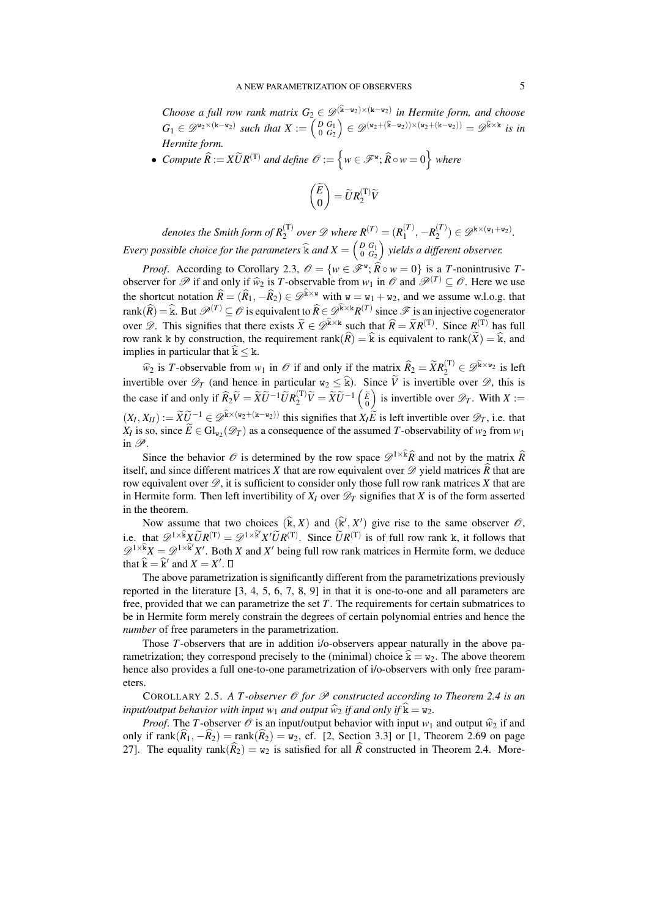*Choose a full row rank matrix*  $G_2 \in \mathscr{D}^{(k-w_2)\times (k-w_2)}$  *in Hermite form, and choose*  $G_1 \in \mathscr{D}^{\mathsf{w}_2 \times (\mathbf{k}-\mathsf{w}_2)}$  such that  $X := \begin{pmatrix} D & G_1 \\ 0 & G_2 \end{pmatrix} \in \mathscr{D}^{(\mathsf{w}_2 + (\mathbf{k}-\mathsf{w}_2)) \times (\mathsf{w}_2 + (\mathbf{k}-\mathsf{w}_2))} = \mathscr{D}^{\mathbf{k} \times \mathbf{k}}$  is in *Hermite form.*

• *Compute*  $\widehat{R} := X \widetilde{U} R^{(T)}$  *and define*  $\mathscr{O} := \{ w \in \mathscr{F}^w : \widehat{R} \circ w = 0 \}$  where

$$
\begin{pmatrix}\widetilde{E}\\0\end{pmatrix}=\widetilde{U}R_2^{\text{(T)}}\widetilde{V}
$$

*denotes the Smith form of*  $R_2^{(T)}$  *over*  $\mathscr D$  *where*  $R^{(T)} = (R_1^{(T)}$  $\mathcal{I}_{1}^{(T)}, -R_{2}^{(T)}$  $(\binom{T}{2}) \in \mathscr{D}^{k \times (w_1+w_2)}$ . Every possible choice for the parameters  $\widehat{\bf k}$  and  $X = \left( \begin{smallmatrix} D & G_1 \ 0 & G_2 \end{smallmatrix} \right)$  yields a different observer.

*Proof.* According to Corollary 2.3,  $\mathcal{O} = \{w \in \mathcal{F}^w : \hat{R} \circ w = 0\}$  is a *T*-nonintrusive *T*observer for P if and only if  $\hat{w}_2$  is T-observable from  $w_1$  in  $\mathcal O$  and  $\mathcal P^{(T)} \subset \mathcal O$ . Here we use the shortcut notation  $\hat{R} = (\hat{R}_1, -\hat{R}_2) \in \mathscr{D}^{k \times w}$  with  $w = w_1 + w_2$ , and we assume w.l.o.g. that rank $(\widehat{R}) = \widehat{k}$ . But  $\mathscr{P}^{(T)} \subseteq \mathscr{O}$  is equivalent to  $\widehat{R} \in \mathscr{D}^{k \times k} R^{(T)}$  since  $\mathscr{F}$  is an injective cogenerator over  $\mathscr{D}$ . This signifies that there exists  $\widetilde{X} \in \mathscr{D}^{k \times k}$  such that  $\widehat{R} = \widetilde{X}R^{(T)}$ . Since  $R^{(T)}$  has full row rank k by construction, the requirement rank( $\widehat{R}$ ) =  $\widehat{k}$  is equivalent to rank( $\widetilde{X}$ ) =  $\widehat{k}$ , and implies in particular that  $\widehat{k} \leq k$ .

 $\hat{w}_2$  is *T*-observable from  $w_1$  in  $\mathcal{O}$  if and only if the matrix  $\hat{R}_2 = \tilde{X}R_2^{(T)} \in \mathcal{D}^{k \times w_2}$  is left invertible over  $\mathscr{D}_T$  (and hence in particular  $w_2 \leq \hat{k}$ ). Since  $\tilde{V}$  is invertible over  $\mathscr{D}$ , this is the case if and only if  $\widehat{R}_2\widetilde{V} = \widetilde{X}\widetilde{U}^{-1}\widetilde{U}R_2^{(T)}$  $2\chi^{(T)}\widetilde{V} = \widetilde{X}\widetilde{U}^{-1}\left(\frac{\widetilde{E}}{0}\right)$  is invertible over  $\mathscr{D}_T$ . With *X* :=  $(X_I, X_{II}) := \widetilde{X} \widetilde{U}^{-1} \in \mathscr{D}^{\widetilde{\mathbf{k}} \times (\mathbf{w}_2 + (\mathbf{k} - \mathbf{w}_2))}$  this signifies that  $X_I \widetilde{E}$  is left invertible over  $\mathscr{D}_T$ , i.e. that  $X_I$  is so, since  $E \in Gl_{w_2}(\mathscr{D}_T)$  as a consequence of the assumed *T*-observability of  $w_2$  from  $w_1$ in  $\mathscr{P}$ .

Since the behavior  $\mathcal O$  is determined by the row space  $\mathscr D^{1\times k}\hat R$  and not by the matrix  $\hat R$ itself, and since different matrices X that are row equivalent over  $\mathscr{D}$  yield matrices  $\hat{R}$  that are row equivalent over  $\mathscr{D}$ , it is sufficient to consider only those full row rank matrices  $X$  that are in Hermite form. Then left invertibility of  $X_I$  over  $\mathscr{D}_T$  signifies that *X* is of the form asserted in the theorem.

Now assume that two choices  $(\hat{\mathbf{k}}, X)$  and  $(\hat{\mathbf{k}}', X')$  give rise to the same observer  $\mathcal{O}$ , i.e. that  $\mathscr{D}^{1\times \hat{k}}X\widetilde{U}R^{(T)} = \mathscr{D}^{1\times \hat{k}'}X'\widetilde{U}R^{(T)}$ . Since  $\widetilde{U}R^{(T)}$  is of full row rank k, it follows that  $\mathscr{D}^{1\times \hat{k}}X = \mathscr{D}^{1\times \hat{k}'}X'$ . Both *X* and *X'* being full row rank matrices in Hermite form, we deduce that  $\hat{\mathbf{k}} = \hat{\mathbf{k}}'$  and  $X = X'$ .

The above parametrization is significantly different from the parametrizations previously reported in the literature [3, 4, 5, 6, 7, 8, 9] in that it is one-to-one and all parameters are free, provided that we can parametrize the set *T*. The requirements for certain submatrices to be in Hermite form merely constrain the degrees of certain polynomial entries and hence the *number* of free parameters in the parametrization.

Those *T*-observers that are in addition i/o-observers appear naturally in the above parametrization; they correspond precisely to the (minimal) choice  $k = w_2$ . The above theorem hence also provides a full one-to-one parametrization of i/o-observers with only free parameters.

COROLLARY 2.5. A T-observer  $\mathcal O$  for  $\mathcal P$  constructed according to Theorem 2.4 is an *input/output behavior with input w<sub>1</sub> and output*  $\hat{w}_2$  *if and only if*  $\hat{k} = w_2$ *.* 

*Proof.* The *T*-observer  $\mathcal O$  is an input/output behavior with input  $w_1$  and output  $\hat w_2$  if and only if rank $(\hat{R}_1, -\hat{R}_2)$  = rank $(\hat{R}_2)$  = w<sub>2</sub>, cf. [2, Section 3.3] or [1, Theorem 2.69 on page 27]. The equality rank $(\widehat{R}_2) = w_2$  is satisfied for all  $\widehat{R}$  constructed in Theorem 2.4. More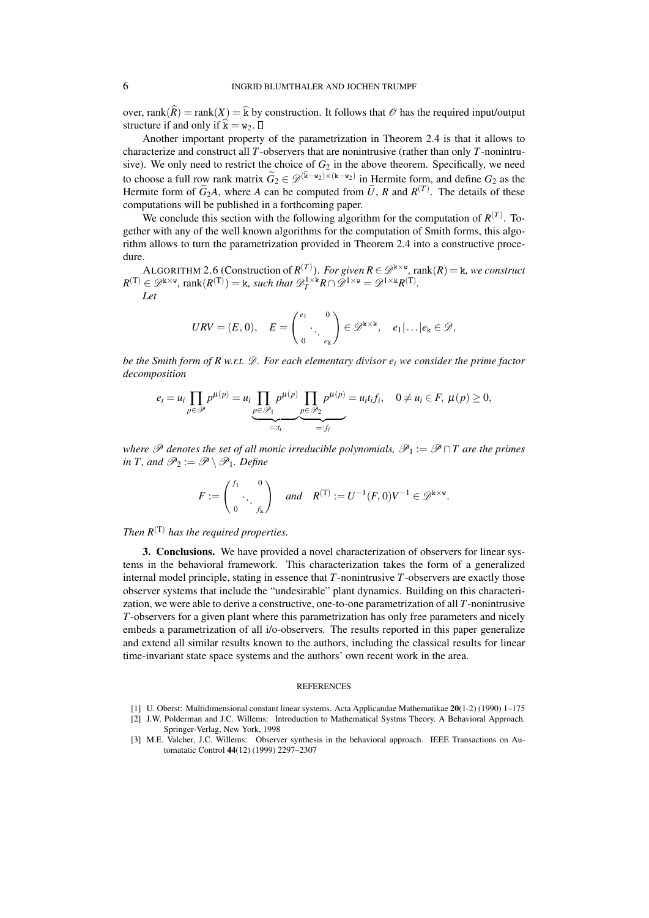over, rank $(\widehat{R})$  = rank $(X)$  =  $\widehat{k}$  by construction. It follows that  $\mathscr O$  has the required input/output structure if and only if  $\hat{\mathbf{k}} = \mathbf{w}_2$ .  $\Box$ 

Another important property of the parametrization in Theorem 2.4 is that it allows to characterize and construct all *T*-observers that are nonintrusive (rather than only *T*-nonintrusive). We only need to restrict the choice of  $G_2$  in the above theorem. Specifically, we need to choose a full row rank matrix  $\widetilde{G}_2 \in \mathscr{D}^{(k-w_2)\times(k-w_2)}$  in Hermite form, and define  $G_2$  as the Hermite form of  $\widetilde{G}_2A$ , where *A* can be computed from  $\widetilde{U}$ , *R* and  $R^{(T)}$ . The details of these computations will be published in a forthcoming paper.

We conclude this section with the following algorithm for the computation of  $R^{(T)}$ . Together with any of the well known algorithms for the computation of Smith forms, this algorithm allows to turn the parametrization provided in Theorem 2.4 into a constructive procedure.

ALGORITHM 2.6 (Construction of  $R^{(T)}$ ). *For given*  $R \in \mathscr{D}^{k \times w}$ , rank $(R) = k$ , we construct  $R^{(\text{T})} \in \mathscr{D}^{k \times w}$ , rank $(R^{(\text{T})}) = k$ , such that  $\mathscr{D}_T^{1 \times k} R \cap \mathscr{D}^{1 \times w} = \mathscr{D}^{1 \times k} R^{(\text{T})}$ . *Let*

$$
URV = (E, 0), \quad E = \begin{pmatrix} e_1 & 0 \\ & \ddots & \\ 0 & & e_k \end{pmatrix} \in \mathscr{D}^{k \times k}, \quad e_1 | \dots | e_k \in \mathscr{D},
$$

*be the Smith form of R w.r.t.*  $\mathcal{D}$ *. For each elementary divisor*  $e_i$  *we consider the prime factor decomposition*

$$
e_i = u_i \prod_{p \in \mathscr{P}} p^{\mu(p)} = u_i \underbrace{\prod_{p \in \mathscr{P}_1} p^{\mu(p)}}_{=: t_i} \underbrace{\prod_{p \in \mathscr{P}_2} p^{\mu(p)}}_{=: f_i} = u_i t_i f_i, \quad 0 \neq u_i \in F, \ \mu(p) \geq 0,
$$

*where*  $\mathscr P$  *denotes the set of all monic irreducible polynomials,*  $\mathscr P_1 := \mathscr P \cap T$  *are the primes in T, and*  $\mathcal{P}_2 := \mathcal{P} \setminus \mathcal{P}_1$ *. Define* 

$$
F:=\begin{pmatrix}f_1&0\\&\ddots&\\0&f_k\end{pmatrix}\quad and\quad R^{(\mathbf{T})}:=U^{-1}(F,0)V^{-1}\in\mathscr{D}^{k\times w}.
$$

*Then*  $R^{(T)}$  *has the required properties.* 

3. Conclusions. We have provided a novel characterization of observers for linear systems in the behavioral framework. This characterization takes the form of a generalized internal model principle, stating in essence that *T*-nonintrusive *T*-observers are exactly those observer systems that include the "undesirable" plant dynamics. Building on this characterization, we were able to derive a constructive, one-to-one parametrization of all *T*-nonintrusive *T*-observers for a given plant where this parametrization has only free parameters and nicely embeds a parametrization of all i/o-observers. The results reported in this paper generalize and extend all similar results known to the authors, including the classical results for linear time-invariant state space systems and the authors' own recent work in the area.

## REFERENCES

- [1] U. Oberst: Multidimensional constant linear systems. Acta Applicandae Mathematikae 20(1-2) (1990) 1–175
- [2] J.W. Polderman and J.C. Willems: Introduction to Mathematical Systms Theory. A Behavioral Approach. Springer-Verlag, New York, 1998
- [3] M.E. Valcher, J.C. Willems: Observer synthesis in the behavioral approach. IEEE Transactions on Automatatic Control 44(12) (1999) 2297–2307